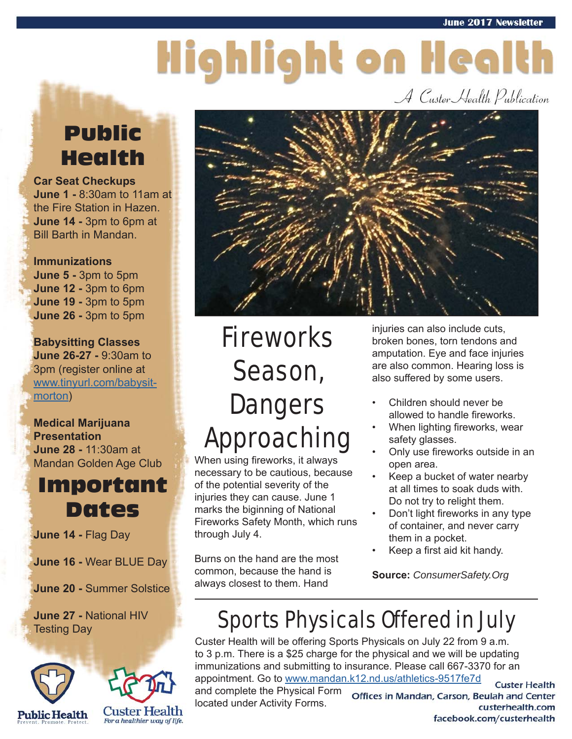# Highlight on Health

A Custer Health Publication

### Public Health

**Car Seat Checkups June 1 -** 8:30am to 11am at the Fire Station in Hazen. **June 14 -** 3pm to 6pm at Bill Barth in Mandan.

**Immunizations June 5 -** 3pm to 5pm **June 12 -** 3pm to 6pm **June 19 -** 3pm to 5pm **June 26 -** 3pm to 5pm

**Babysitting Classes June 26-27 -** 9:30am to 3pm (register online at www.tinyurl.com/babysitmorton)

#### **Medical Marijuana Presentation June 28 -** 11:30am at Mandan Golden Age Club



**June 14 -** Flag Day

**June 16 -** Wear BLUE Day

**June 20 -** Summer Solstice

**June 27 -** National HIV Testing Day





### Fireworks Season, **Dangers** Approaching

When using fireworks, it always necessary to be cautious, because of the potential severity of the injuries they can cause. June 1 marks the biginning of National Fireworks Safety Month, which runs through July 4.

Burns on the hand are the most common, because the hand is always closest to them. Hand

injuries can also include cuts, broken bones, torn tendons and amputation. Eye and face injuries are also common. Hearing loss is also suffered by some users.

- Children should never be allowed to handle fireworks.
- When lighting fireworks, wear safety glasses.
- Only use fireworks outside in an open area.
- Keep a bucket of water nearby at all times to soak duds with. Do not try to relight them.
- Don't light fireworks in any type of container, and never carry them in a pocket.
- Keep a first aid kit handy.

**Source:** *ConsumerSafety.Org*

### Sports Physicals Offered in July

Custer Health will be offering Sports Physicals on July 22 from 9 a.m. to 3 p.m. There is a \$25 charge for the physical and we will be updating immunizations and submitting to insurance. Please call 667-3370 for an appointment. Go to www.mandan.k12.nd.us/athletics-9517fe7d **Custer Health** and complete the Physical Form Offices in Mandan, Carson, Beulah and Center located under Activity Forms. custerhealth.com

facebook.com/custerhealth